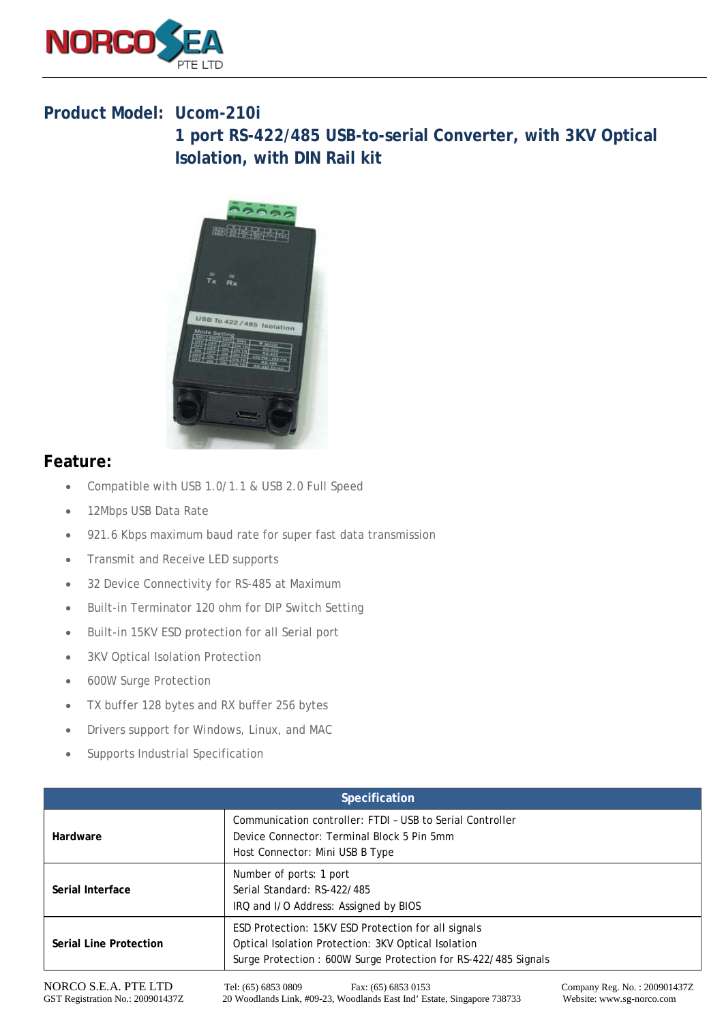

## **Product Model: Ucom-210i**

**1 port RS-422/485 USB-to-serial Converter, with 3KV Optical Isolation, with DIN Rail kit**



## **Feature:**

- Compatible with USB 1.0/1.1 & USB 2.0 Full Speed
- 12Mbps USB Data Rate
- 921.6 Kbps maximum baud rate for super fast data transmission
- Transmit and Receive LED supports
- 32 Device Connectivity for RS-485 at Maximum
- Built-in Terminator 120 ohm for DIP Switch Setting
- Built-in 15KV ESD protection for all Serial port
- **3KV Optical Isolation Protection**
- 600W Surge Protection
- TX buffer 128 bytes and RX buffer 256 bytes
- Drivers support for Windows, Linux, and MAC
- Supports Industrial Specification

| <b>Specification</b>          |                                                                                                                                                                              |                              |
|-------------------------------|------------------------------------------------------------------------------------------------------------------------------------------------------------------------------|------------------------------|
| Hardware                      | Communication controller: FTDI - USB to Serial Controller<br>Device Connector: Terminal Block 5 Pin 5mm<br>Host Connector: Mini USB B Type                                   |                              |
| Serial Interface              | Number of ports: 1 port<br>Serial Standard: RS-422/485<br>IRQ and I/O Address: Assigned by BIOS                                                                              |                              |
| <b>Serial Line Protection</b> | ESD Protection: 15KV ESD Protection for all signals<br>Optical Isolation Protection: 3KV Optical Isolation<br>Surge Protection: 600W Surge Protection for RS-422/485 Signals |                              |
| NORCO S.E.A. PTE LTD          | Tel: (65) 6853 0809<br>Fax: (65) 6853 0153                                                                                                                                   | Company Reg. No.: 200901437Z |